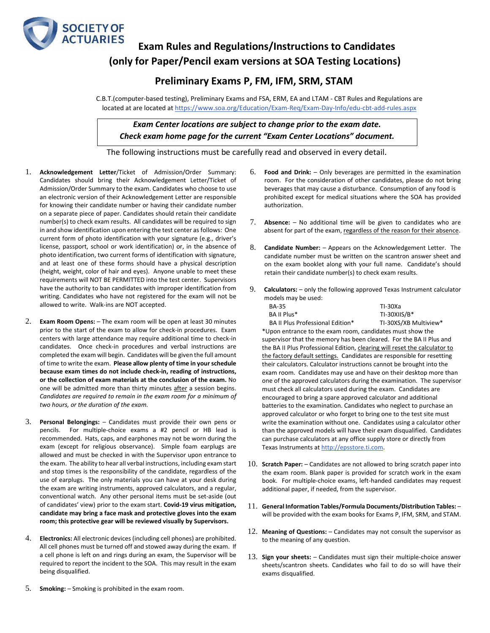

## **Exam Rules and Regulations/Instructions to Candidates (only for Paper/Pencil exam versions at SOA Testing Locations)**

## **Preliminary Exams P, FM, IFM, SRM, STAM**

C.B.T.(computer-based testing), Preliminary Exams and FSA, ERM, EA and LTAM - CBT Rules and Regulations are located at are located a[t https://www.soa.org/Education/Exam-Req/Exam-Day-Info/edu-cbt-add-rules.aspx](https://www.soa.org/Education/Exam-Req/Exam-Day-Info/edu-cbt-add-rules.aspx)

*Exam Center locations are subject to change prior to the exam date. Check exam home page for the current "Exam Center Locations" document.*

The following instructions must be carefully read and observed in every detail.

- 1. **Acknowledgement Letter**/Ticket of Admission/Order Summary: Candidates should bring their Acknowledgement Letter/Ticket of Admission/Order Summary to the exam. Candidates who choose to use an electronic version of their Acknowledgement Letter are responsible for knowing their candidate number or having their candidate number on a separate piece of paper. Candidates should retain their candidate number(s) to check exam results. All candidates will be required to sign in and show identification upon entering the test center as follows: One current form of photo identification with your signature (e.g., driver's license, passport, school or work identification) or, in the absence of photo identification, two current forms of identification with signature, and at least one of these forms should have a physical description (height, weight, color of hair and eyes). Anyone unable to meet these requirements will NOT BE PERMITTED into the test center. Supervisors have the authority to ban candidates with improper identification from writing. Candidates who have not registered for the exam will not be allowed to write. Walk-ins are NOT accepted.
- 2. **Exam Room Opens:** The exam room will be open at least 30 minutes prior to the start of the exam to allow for check-in procedures. Exam centers with large attendance may require additional time to check-in candidates. Once check-in procedures and verbal instructions are completed the exam will begin. Candidates will be given the full amount of time to write the exam. **Please allow plenty of time in your schedule because exam times do not include check‐in, reading of instructions, or the collection of exam materials at the conclusion of the exam.** No one will be admitted more than thirty minutes after a session begins. *Candidates are required to remain in the exam room for a minimum of two hours, or the duration of the exam.*
- 3. **Personal Belongings:** Candidates must provide their own pens or pencils. For multiple-choice exams a #2 pencil or HB lead is recommended. Hats, caps, and earphones may not be worn during the exam (except for religious observance). Simple foam earplugs are allowed and must be checked in with the Supervisor upon entrance to the exam. The ability to hear all verbal instructions, including exam start and stop times is the responsibility of the candidate, regardless of the use of earplugs. The only materials you can have at your desk during the exam are writing instruments, approved calculators, and a regular, conventional watch. Any other personal items must be set-aside (out of candidates' view) prior to the exam start. **Covid-19 virus mitigation, candidate may bring a face mask and protective gloves into the exam room; this protective gear will be reviewed visually by Supervisors.**
- 4. **Electronics:** All electronic devices (including cell phones) are prohibited. All cell phones must be turned off and stowed away during the exam. If a cell phone is left on and rings during an exam, the Supervisor will be required to report the incident to the SOA. This may result in the exam being disqualified.
- 5. **Smoking:** Smoking is prohibited in the exam room.
- 6. **Food and Drink:** Only beverages are permitted in the examination room. For the consideration of other candidates, please do not bring beverages that may cause a disturbance. Consumption of any food is prohibited except for medical situations where the SOA has provided authorization.
- 7. **Absence:** No additional time will be given to candidates who are absent for part of the exam, regardless of the reason for their absence.
- 8. **Candidate Number:** Appears on the Acknowledgement Letter. The candidate number must be written on the scantron answer sheet and on the exam booklet along with your full name. Candidate's should retain their candidate number(s) to check exam results.
- 9. **Calculators:** only the following approved Texas Instrument calculator models may be used:

| BA-35                            | TI-30Xa               |
|----------------------------------|-----------------------|
| BA II Plus*                      | TI-30XIIS/B*          |
| BA II Plus Professional Edition* | TI-30XS/XB Multiview* |

\*Upon entrance to the exam room, candidates must show the supervisor that the memory has been cleared. For the BA II Plus and the BA II Plus Professional Edition, clearing will reset the calculator to the factory default settings. Candidates are responsible for resetting their calculators. Calculator instructions cannot be brought into the exam room. Candidates may use and have on their desktop more than one of the approved calculators during the examination. The supervisor must check all calculators used during the exam. Candidates are encouraged to bring a spare approved calculator and additional batteries to the examination. Candidates who neglect to purchase an approved calculator or who forget to bring one to the test site must write the examination without one. Candidates using a calculator other than the approved models will have their exam disqualified. Candidates can purchase calculators at any office supply store or directly from Texas Instruments a[t http://epsstore.ti.com.](http://epsstore.ti.com/) 

- 10. **Scratch Paper:** Candidates are not allowed to bring scratch paper into the exam room. Blank paper is provided for scratch work in the exam book. For multiple-choice exams, left-handed candidates may request additional paper, if needed, from the supervisor.
- 11. **General Information Tables/Formula Documents/Distribution Tables:** will be provided with the exam books for Exams P, IFM, SRM, and STAM.
- 12. **Meaning of Questions:** Candidates may not consult the supervisor as to the meaning of any question.
- 13. **Sign your sheets:** Candidates must sign their multiple-choice answer sheets/scantron sheets. Candidates who fail to do so will have their exams disqualified.